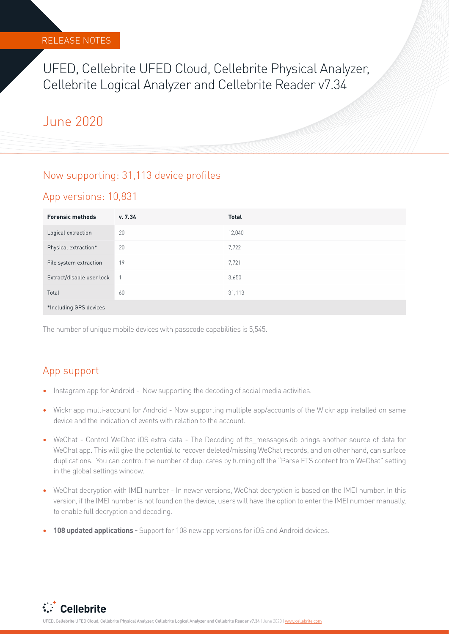### RELEASE NOTES

UFED, Cellebrite UFED Cloud, Cellebrite Physical Analyzer, Cellebrite Logical Analyzer and Cellebrite Reader v7.34

## June 2020

### Now supporting: 31,113 device profiles

### App versions: 10,831

| <b>Forensic methods</b>   | v. 7.34 | <b>Total</b> |
|---------------------------|---------|--------------|
| Logical extraction        | 20      | 12,040       |
| Physical extraction*      | 20      | 7,722        |
| File system extraction    | 19      | 7,721        |
| Extract/disable user lock |         | 3,650        |
| Total                     | 60      | 31,113       |
| *Including GPS devices    |         |              |

The number of unique mobile devices with passcode capabilities is 5,545.

## App support

- **•** Instagram app for Android Now supporting the decoding of social media activities.
- **•** Wickr app multi-account for Android Now supporting multiple app/accounts of the Wickr app installed on same device and the indication of events with relation to the account.
- WeChat Control WeChat iOS extra data The Decoding of fts messages.db brings another source of data for WeChat app. This will give the potential to recover deleted/missing WeChat records, and on other hand, can surface duplications. You can control the number of duplicates by turning off the "Parse FTS content from WeChat" setting in the global settings window.
- **•** WeChat decryption with IMEI number In newer versions, WeChat decryption is based on the IMEI number. In this version, if the IMEI number is not found on the device, users will have the option to enter the IMEI number manually, to enable full decryption and decoding.
- **• 108 updated applications** Support for 108 new app versions for iOS and Android devices.

**With Cellebrite** 

UFED, Cellebrite UFED Cloud, Cellebrite Physical Analyzer, Cellebrite Logical Analyzer and Cellebrite Reader v7.34 | June 2020 | www.cellebrite.com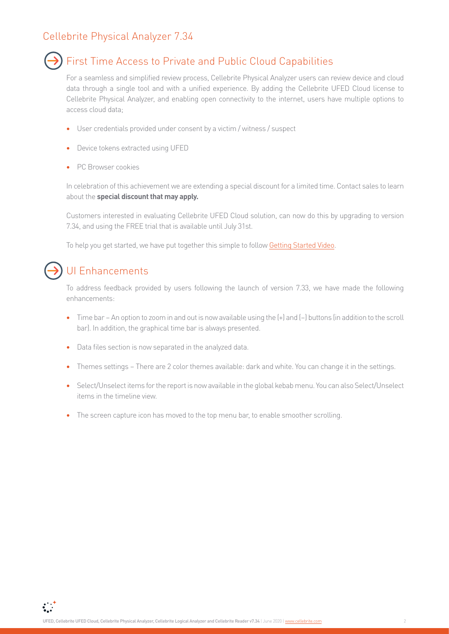### Cellebrite Physical Analyzer 7.34



### First Time Access to Private and Public Cloud Capabilities

For a seamless and simplified review process, Cellebrite Physical Analyzer users can review device and cloud data through a single tool and with a unified experience. By adding the Cellebrite UFED Cloud license to Cellebrite Physical Analyzer, and enabling open connectivity to the internet, users have multiple options to access cloud data;

- **•** User credentials provided under consent by a victim / witness / suspect
- **•** Device tokens extracted using UFED
- **•** PC Browser cookies

In celebration of this achievement we are extending a special discount for a limited time. Contact sales to learn about the **special discount that may apply.**

Customers interested in evaluating Cellebrite UFED Cloud solution, can now do this by upgrading to version 7.34, and using the FREE trial that is available until July 31st.

To help you get started, we have put together this simple to follow [Getting Started Video](https://share.vidyard.com/watch/iNw1qbQPD4MeBhYxG84PnF?).



 $\sum_{i=1}^{n}$ 

## UI Enhancements

To address feedback provided by users following the launch of version 7.33, we have made the following enhancements:

- **•** Time bar An option to zoom in and out is now available using the (+) and (–) buttons (in addition to the scroll bar). In addition, the graphical time bar is always presented.
- **•** Data files section is now separated in the analyzed data.
- **•** Themes settings There are 2 color themes available: dark and white. You can change it in the settings.
- **•** Select/Unselect items for the report is now available in the global kebab menu. You can also Select/Unselect items in the timeline view.
- **•** The screen capture icon has moved to the top menu bar, to enable smoother scrolling.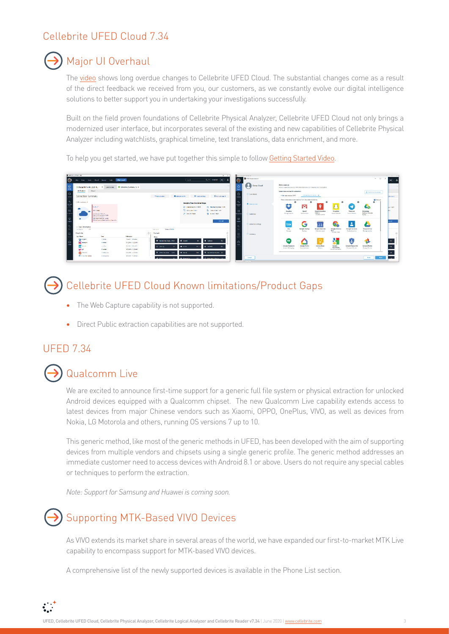## Cellebrite UFED Cloud 7.34



## Major UI Overhaul

The [video](https://share.vidyard.com/watch/yBLVy1aBL7wXJ3KtXAXa36) shows long overdue changes to Cellebrite UFED Cloud. The substantial changes come as a result of the direct feedback we received from you, our customers, as we constantly evolve our digital intelligence solutions to better support you in undertaking your investigations successfully.

Built on the field proven foundations of Cellebrite Physical Analyzer, Cellebrite UFED Cloud not only brings a modernized user interface, but incorporates several of the existing and new capabilities of Cellebrite Physical Analyzer including watchlists, graphical timeline, text translations, data enrichment, and more.

To help you get started, we have put together this simple to follow [Getting Started Video](https://share.vidyard.com/watch/iNw1qbQPD4MeBhYxG84PnF?).



## Cellebrite UFED Cloud Known limitations/Product Gaps

- **•** The Web Capture capability is not supported.
- **•** Direct Public extraction capabilities are not supported.

### UFED 7.34



## Qualcomm Live

We are excited to announce first-time support for a generic full file system or physical extraction for unlocked Android devices equipped with a Qualcomm chipset. The new Qualcomm Live capability extends access to latest devices from major Chinese vendors such as Xiaomi, OPPO, OnePlus, VIVO, as well as devices from Nokia, LG Motorola and others, running OS versions 7 up to 10.

This generic method, like most of the generic methods in UFED, has been developed with the aim of supporting devices from multiple vendors and chipsets using a single generic profile. The generic method addresses an immediate customer need to access devices with Android 8.1 or above. Users do not require any special cables or techniques to perform the extraction.

*Note: Support for Samsung and Huawei is coming soon.*



 $\sum_{i=1}^{n}$ 

## Supporting MTK-Based VIVO Devices

As VIVO extends its market share in several areas of the world, we have expanded our first-to-market MTK Live capability to encompass support for MTK-based VIVO devices.

A comprehensive list of the newly supported devices is available in the Phone List section.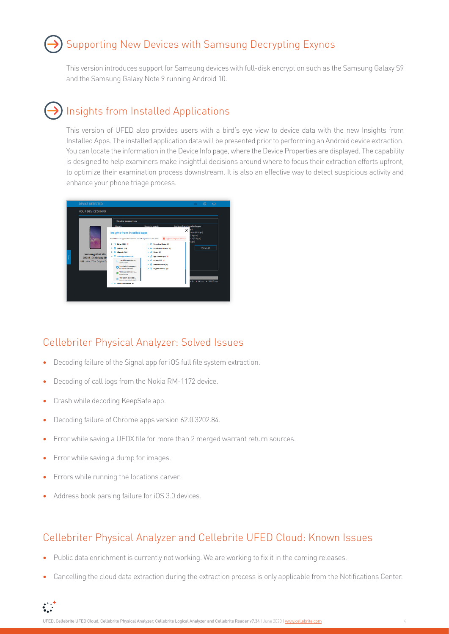## Supporting New Devices with Samsung Decrypting Exynos

This version introduces support for Samsung devices with full-disk encryption such as the Samsung Galaxy S9 and the Samsung Galaxy Note 9 running Android 10.

## Insights from Installed Applications

This version of UFED also provides users with a bird's eye view to device data with the new Insights from Installed Apps. The installed application data will be presented prior to performing an Android device extraction. You can locate the information in the Device Info page, where the Device Properties are displayed. The capability is designed to help examiners make insightful decisions around where to focus their extraction efforts upfront, to optimize their examination process downstream. It is also an effective way to detect suspicious activity and enhance your phone triage process.



### Cellebriter Physical Analyzer: Solved Issues

- **•** Decoding failure of the Signal app for iOS full file system extraction.
- **•** Decoding of call logs from the Nokia RM-1172 device.
- **•** Crash while decoding KeepSafe app.
- **•** Decoding failure of Chrome apps version 62.0.3202.84.
- **•** Error while saving a UFDX file for more than 2 merged warrant return sources.
- **•** Error while saving a dump for images.
- **•** Errors while running the locations carver.
- **•** Address book parsing failure for iOS 3.0 devices.

### Cellebriter Physical Analyzer and Cellebrite UFED Cloud: Known Issues

- **•** Public data enrichment is currently not working. We are working to fix it in the coming releases.
- **•** Cancelling the cloud data extraction during the extraction process is only applicable from the Notifications Center.

 $\mathbf{C}$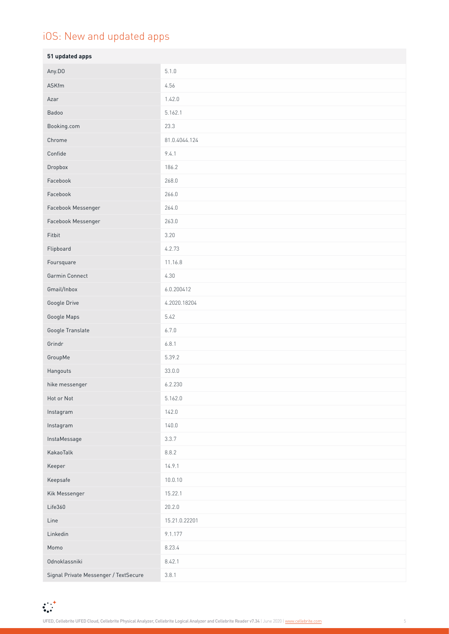## iOS: New and updated apps

| 51 updated apps                       |               |
|---------------------------------------|---------------|
| Any.DO                                | 5.1.0         |
| ASKfm                                 | 4.56          |
| Azar                                  | 1.42.0        |
| Badoo                                 | 5.162.1       |
| Booking.com                           | 23.3          |
| Chrome                                | 81.0.4044.124 |
| Confide                               | 9.4.1         |
| Dropbox                               | 186.2         |
| Facebook                              | 268.0         |
| Facebook                              | 266.0         |
| Facebook Messenger                    | 264.0         |
| Facebook Messenger                    | 263.0         |
| Fitbit                                | 3.20          |
| Flipboard                             | 4.2.73        |
| Foursquare                            | 11.16.8       |
| Garmin Connect                        | 4.30          |
| Gmail/Inbox                           | 6.0.200412    |
| Google Drive                          | 4.2020.18204  |
| Google Maps                           | 5.42          |
| Google Translate                      | 6.7.0         |
| Grindr                                | 6.8.1         |
| GroupMe                               | 5.39.2        |
| Hangouts                              | 33.0.0        |
| hike messenger                        | 6.2.230       |
| Hot or Not                            | 5.162.0       |
| Instagram                             | 142.0         |
| Instagram                             | 140.0         |
| InstaMessage                          | 3.3.7         |
| KakaoTalk                             | 8.8.2         |
| Keeper                                | 14.9.1        |
| Keepsafe                              | 10.0.10       |
| Kik Messenger                         | 15.22.1       |
| Life360                               | 20.2.0        |
| Line                                  | 15.21.0.22201 |
| Linkedin                              | 9.1.177       |
| Momo                                  | 8.23.4        |
| Odnoklassniki                         | 8.42.1        |
| Signal Private Messenger / TextSecure | 3.8.1         |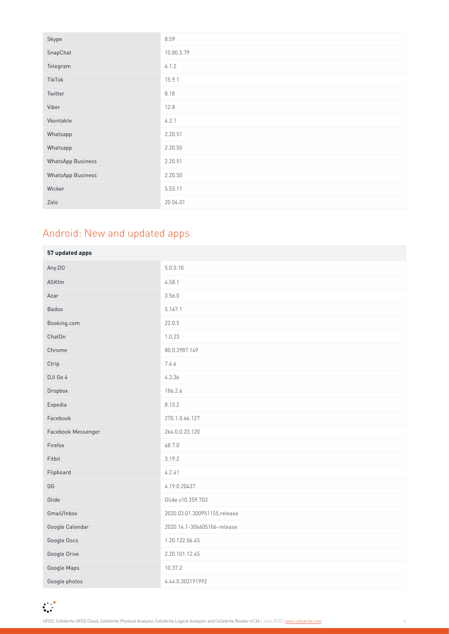| Skype                    | 8.59       |
|--------------------------|------------|
| SnapChat                 | 10.80.5.79 |
| Telegram                 | 6.1.2      |
| TikTok                   | 15.9.1     |
| Twitter                  | 8.18       |
| Viber                    | 12.8       |
| Vkontakte                | 6.2.1      |
| Whatsapp                 | 2.20.51    |
| Whatsapp                 | 2.20.50    |
| <b>WhatsApp Business</b> | 2.20.51    |
| <b>WhatsApp Business</b> | 2.20.50    |
| Wicker                   | 5.53.11    |
| Zalo                     | 20.04.01   |

# Android: New and updated apps

| 57 updated apps    |                              |
|--------------------|------------------------------|
| Any.DO             | 5.0.0.10                     |
| ASKfm              | 4.58.1                       |
| Azar               | 3.56.0                       |
| Badoo              | 5.167.1                      |
| Booking.com        | 22.0.5                       |
| ChatOn             | 1.0.23                       |
| Chrome             | 80.0.3987.149                |
| Ctrip              | 7.6.6                        |
| DJI Go 4           | 4.3.36                       |
| Dropbox            | 186.2.6                      |
| Expedia            | 8.13.2                       |
| Facebook           | 270.1.0.66.127               |
| Facebook Messenger | 264.0.0.23.120               |
| Firefox            | 68.7.0                       |
| Fitbit             | 3.19.2                       |
| Flipboard          | 4.2.41                       |
| GG                 | 4.19.0.20437                 |
| Glide              | Glide.v10.359.703            |
| Gmail/Inbox        | 2020.03.01.300951155.release |
| Google Calendar    | 2020.14.1-306605106-release  |
| Google Docs        | 1.20.122.06.45               |
| Google Drive       | 2.20.101.12.45               |
| Google Maps        | 10.37.2                      |
| Google photos      | 4.44.0.303191992             |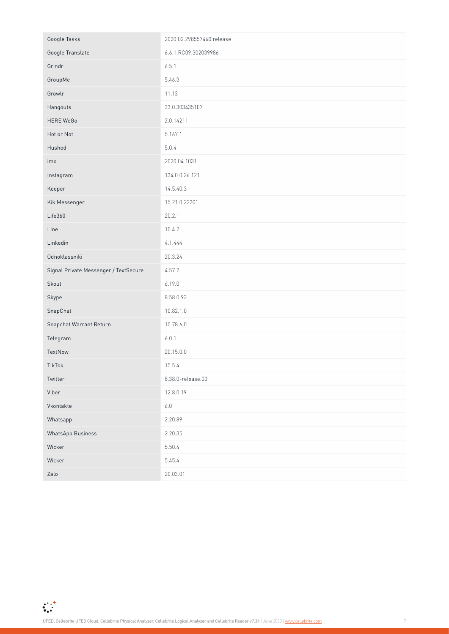| Google Tasks                          | 2020.02.298557460.release |
|---------------------------------------|---------------------------|
| Google Translate                      | 6.6.1.RC09.302039986      |
| Grindr                                | 6.5.1                     |
| GroupMe                               | 5.46.3                    |
| Growlr                                | 11.13                     |
| Hangouts                              | 33.0.303435107            |
| <b>HERE WeGo</b>                      | 2.0.14211                 |
| Hot or Not                            | 5.167.1                   |
| Hushed                                | 5.0.4                     |
| imo                                   | 2020.04.1031              |
| Instagram                             | 134.0.0.26.121            |
| Keeper                                | 14.5.40.3                 |
| Kik Messenger                         | 15.21.0.22201             |
| Life360                               | 20.2.1                    |
| Line                                  | 10.4.2                    |
| Linkedin                              | 4.1.444                   |
| Odnoklassniki                         | 20.3.24                   |
| Signal Private Messenger / TextSecure | 4.57.2                    |
| Skout                                 | 6.19.0                    |
| Skype                                 | 8.58.0.93                 |
| SnapChat                              | 10.82.1.0                 |
| Snapchat Warrant Return               | 10.78.6.0                 |
| Telegram                              | 6.0.1                     |
| TextNow                               | 20.15.0.0                 |
| TikTok                                | 15.5.4                    |
| Twitter                               | 8.38.0-release.00         |
| Viber                                 | 12.8.0.19                 |
| Vkontakte                             | $6.0\,$                   |
| Whatsapp                              | 2.20.89                   |
| <b>WhatsApp Business</b>              | 2.20.35                   |
| Wicker                                | 5.50.4                    |
| Wicker                                | 5.45.4                    |
| Zalo                                  | 20.03.01                  |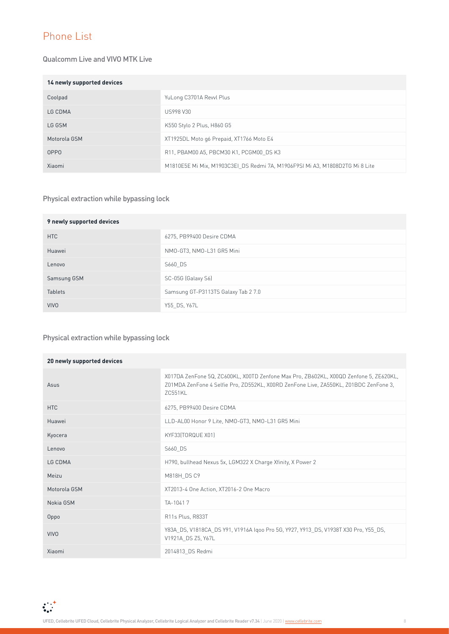## Phone List

#### Qualcomm Live and VIVO MTK Live

| 14 newly supported devices |                                                                              |
|----------------------------|------------------------------------------------------------------------------|
| Coolpad                    | YuLong C3701A Revvl Plus                                                     |
| LG CDMA                    | <b>US998 V30</b>                                                             |
| LG GSM                     | K550 Stylo 2 Plus, H860 G5                                                   |
| Motorola GSM               | XT1925DL Moto g6 Prepaid, XT1766 Moto E4                                     |
| 0PP <sub>0</sub>           | R11, PBAM00 A5, PBCM30 K1, PCGM00 DS K3                                      |
| Xiaomi                     | M1810E5E Mi Mix, M1903C3EI DS Redmi 7A, M1906F9SI Mi A3, M1808D2TG Mi 8 Lite |

#### Physical extraction while bypassing lock

| 9 newly supported devices |                                     |
|---------------------------|-------------------------------------|
| HTC                       | 6275, PB99400 Desire CDMA           |
| Huawei                    | NMO-GT3, NMO-L31 GR5 Mini           |
| Lenovo                    | S660 DS                             |
| Samsung GSM               | SC-05G (Galaxy S6)                  |
| <b>Tablets</b>            | Samsung GT-P3113TS Galaxy Tab 2 7.0 |
| <b>VIVO</b>               | Y55 DS, Y67L                        |

#### Physical extraction while bypassing lock

| 20 newly supported devices |                                                                                                                                                                                          |
|----------------------------|------------------------------------------------------------------------------------------------------------------------------------------------------------------------------------------|
| Asus                       | X017DA ZenFone 5Q, ZC600KL, X00TD Zenfone Max Pro, ZB602KL, X00QD Zenfone 5, ZE620KL,<br>Z01MDA ZenFone 4 Selfie Pro, ZD552KL, X00RD ZenFone Live, ZA550KL, Z01BDC ZenFone 3,<br>ZC551KL |
| <b>HTC</b>                 | 6275, PB99400 Desire CDMA                                                                                                                                                                |
| Huawei                     | LLD-AL00 Honor 9 Lite, NMO-GT3, NMO-L31 GR5 Mini                                                                                                                                         |
| Kyocera                    | KYF33(TORQUE X01)                                                                                                                                                                        |
| Lenovo                     | S660 DS                                                                                                                                                                                  |
| LG CDMA                    | H790, bullhead Nexus 5x, LGM322 X Charge Xfinity, X Power 2                                                                                                                              |
| Meizu                      | M818H DS C9                                                                                                                                                                              |
| Motorola GSM               | XT2013-4 One Action, XT2016-2 One Macro                                                                                                                                                  |
| Nokia GSM                  | TA-10417                                                                                                                                                                                 |
| Oppo                       | R11s Plus, R833T                                                                                                                                                                         |
| <b>VIVO</b>                | Y83A DS, V1818CA DS Y91, V1916A Igoo Pro 5G, Y927, Y913 DS, V1938T X30 Pro, Y55 DS,<br>V1921A DS Z5, Y67L                                                                                |
| Xiaomi                     | 2014813 DS Redmi                                                                                                                                                                         |